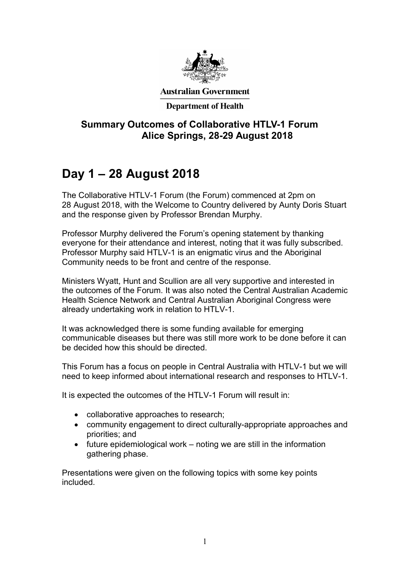

**Australian Government** 

#### **Department of Health**

## Summary Outcomes of Collaborative HTLV-1 Forum Alice Springs, 28-29 August 2018

# Day 1 – 28 August 2018

The Collaborative HTLV-1 Forum (the Forum) commenced at 2pm on 28 August 2018, with the Welcome to Country delivered by Aunty Doris Stuart and the response given by Professor Brendan Murphy.

Professor Murphy delivered the Forum's opening statement by thanking everyone for their attendance and interest, noting that it was fully subscribed. Professor Murphy said HTLV-1 is an enigmatic virus and the Aboriginal Community needs to be front and centre of the response.

Ministers Wyatt, Hunt and Scullion are all very supportive and interested in the outcomes of the Forum. It was also noted the Central Australian Academic Health Science Network and Central Australian Aboriginal Congress were already undertaking work in relation to HTLV-1.

It was acknowledged there is some funding available for emerging communicable diseases but there was still more work to be done before it can be decided how this should be directed.

This Forum has a focus on people in Central Australia with HTLV-1 but we will need to keep informed about international research and responses to HTLV-1.

It is expected the outcomes of the HTLV-1 Forum will result in:

- collaborative approaches to research;
- community engagement to direct culturally-appropriate approaches and priorities; and
- $\bullet$  future epidemiological work noting we are still in the information gathering phase.

Presentations were given on the following topics with some key points included.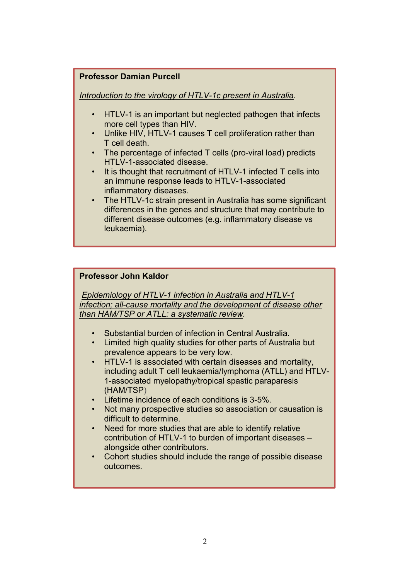#### Professor Damian Purcell

Introduction to the virology of HTLV-1c present in Australia.

- HTLV-1 is an important but neglected pathogen that infects more cell types than HIV.
- Unlike HIV, HTLV-1 causes T cell proliferation rather than T cell death.
- The percentage of infected T cells (pro-viral load) predicts HTLV-1-associated disease.
- It is thought that recruitment of HTLV-1 infected T cells into an immune response leads to HTLV-1-associated inflammatory diseases.
- The HTLV-1c strain present in Australia has some significant differences in the genes and structure that may contribute to different disease outcomes (e.g. inflammatory disease vs leukaemia).

#### Professor John Kaldor

 Epidemiology of HTLV-1 infection in Australia and HTLV-1 infection; all-cause mortality and the development of disease other than HAM/TSP or ATLL: a systematic review.

- Substantial burden of infection in Central Australia.
- Limited high quality studies for other parts of Australia but prevalence appears to be very low.
- HTLV-1 is associated with certain diseases and mortality, including adult T cell leukaemia/lymphoma (ATLL) and HTLV-1-associated myelopathy/tropical spastic paraparesis (HAM/TSP)
- Lifetime incidence of each conditions is 3-5%.
- Not many prospective studies so association or causation is difficult to determine.
- Need for more studies that are able to identify relative contribution of HTLV-1 to burden of important diseases – alongside other contributors.
- Cohort studies should include the range of possible disease outcomes.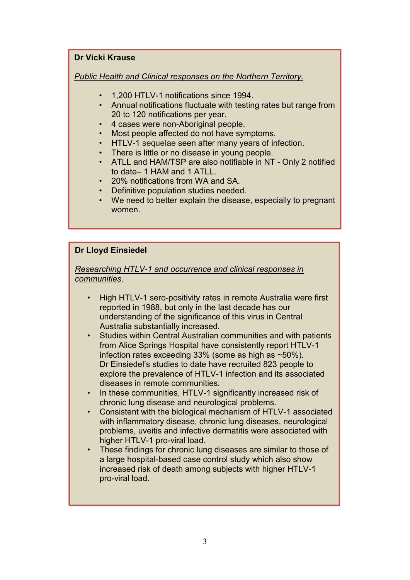#### Dr Vicki Krause

Public Health and Clinical responses on the Northern Territory.

- 1,200 HTLV-1 notifications since 1994.
- Annual notifications fluctuate with testing rates but range from 20 to 120 notifications per year.
- 4 cases were non-Aboriginal people.
- Most people affected do not have symptoms.
- HTLV-1 sequelae seen after many years of infection.
- There is little or no disease in young people.
- ATLL and HAM/TSP are also notifiable in NT Only 2 notified to date– 1 HAM and 1 ATLL.
- 20% notifications from WA and SA.
- Definitive population studies needed.
- We need to better explain the disease, especially to pregnant women.

#### Dr Lloyd Einsiedel

#### Researching HTLV-1 and occurrence and clinical responses in communities.

- High HTLV-1 sero-positivity rates in remote Australia were first reported in 1988, but only in the last decade has our understanding of the significance of this virus in Central Australia substantially increased.
- Studies within Central Australian communities and with patients from Alice Springs Hospital have consistently report HTLV-1 infection rates exceeding 33% (some as high as ~50%). Dr Einsiedel's studies to date have recruited 823 people to explore the prevalence of HTLV-1 infection and its associated diseases in remote communities.
- In these communities, HTLV-1 significantly increased risk of chronic lung disease and neurological problems.
- Consistent with the biological mechanism of HTLV-1 associated with inflammatory disease, chronic lung diseases, neurological problems, uveitis and infective dermatitis were associated with higher HTLV-1 pro-viral load.
- These findings for chronic lung diseases are similar to those of a large hospital-based case control study which also show increased risk of death among subjects with higher HTLV-1 pro-viral load.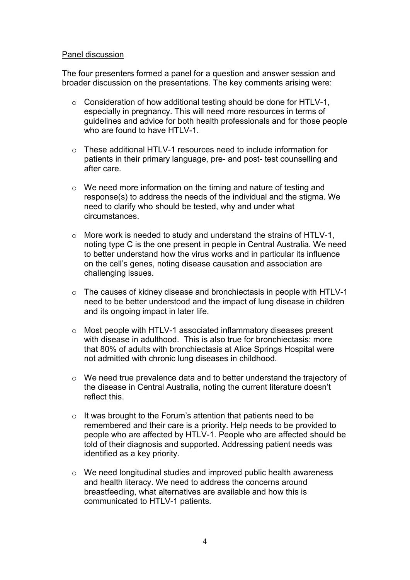#### Panel discussion

The four presenters formed a panel for a question and answer session and broader discussion on the presentations. The key comments arising were:

- o Consideration of how additional testing should be done for HTLV-1, especially in pregnancy. This will need more resources in terms of guidelines and advice for both health professionals and for those people who are found to have HTLV-1.
- $\circ$  These additional HTLV-1 resources need to include information for patients in their primary language, pre- and post- test counselling and after care.
- o We need more information on the timing and nature of testing and response(s) to address the needs of the individual and the stigma. We need to clarify who should be tested, why and under what circumstances.
- o More work is needed to study and understand the strains of HTLV-1, noting type C is the one present in people in Central Australia. We need to better understand how the virus works and in particular its influence on the cell's genes, noting disease causation and association are challenging issues.
- o The causes of kidney disease and bronchiectasis in people with HTLV-1 need to be better understood and the impact of lung disease in children and its ongoing impact in later life.
- o Most people with HTLV-1 associated inflammatory diseases present with disease in adulthood. This is also true for bronchiectasis: more that 80% of adults with bronchiectasis at Alice Springs Hospital were not admitted with chronic lung diseases in childhood.
- o We need true prevalence data and to better understand the trajectory of the disease in Central Australia, noting the current literature doesn't reflect this.
- o It was brought to the Forum's attention that patients need to be remembered and their care is a priority. Help needs to be provided to people who are affected by HTLV-1. People who are affected should be told of their diagnosis and supported. Addressing patient needs was identified as a key priority.
- o We need longitudinal studies and improved public health awareness and health literacy. We need to address the concerns around breastfeeding, what alternatives are available and how this is communicated to HTLV-1 patients.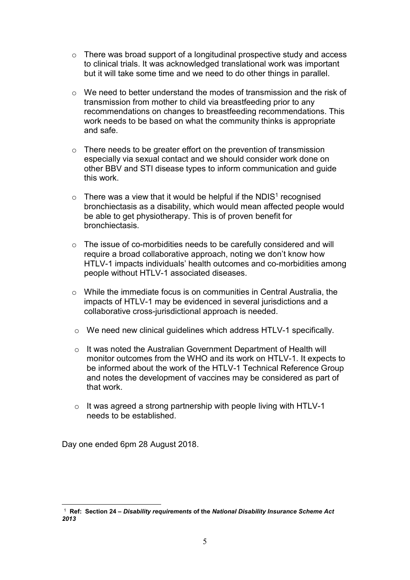- o There was broad support of a longitudinal prospective study and access to clinical trials. It was acknowledged translational work was important but it will take some time and we need to do other things in parallel.
- $\circ$  We need to better understand the modes of transmission and the risk of transmission from mother to child via breastfeeding prior to any recommendations on changes to breastfeeding recommendations. This work needs to be based on what the community thinks is appropriate and safe.
- o There needs to be greater effort on the prevention of transmission especially via sexual contact and we should consider work done on other BBV and STI disease types to inform communication and guide this work.
- $\circ$  There was a view that it would be helpful if the NDIS<sup>1</sup> recognised bronchiectasis as a disability, which would mean affected people would be able to get physiotherapy. This is of proven benefit for bronchiectasis.
- o The issue of co-morbidities needs to be carefully considered and will require a broad collaborative approach, noting we don't know how HTLV-1 impacts individuals' health outcomes and co-morbidities among people without HTLV-1 associated diseases.
- o While the immediate focus is on communities in Central Australia, the impacts of HTLV-1 may be evidenced in several jurisdictions and a collaborative cross-jurisdictional approach is needed.
- o We need new clinical guidelines which address HTLV-1 specifically.
- o It was noted the Australian Government Department of Health will monitor outcomes from the WHO and its work on HTLV-1. It expects to be informed about the work of the HTLV-1 Technical Reference Group and notes the development of vaccines may be considered as part of that work.
- o It was agreed a strong partnership with people living with HTLV-1 needs to be established.

Day one ended 6pm 28 August 2018.

-

 $^\mathrm{1}$  Ref: Section 24 – Disability requirements of the National Disability Insurance Scheme Act 2013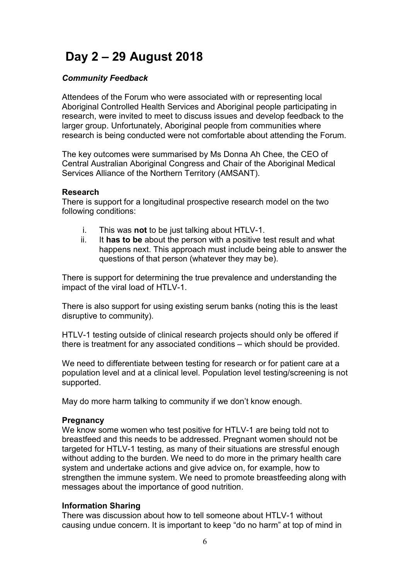# Day 2 – 29 August 2018

#### Community Feedback

Attendees of the Forum who were associated with or representing local Aboriginal Controlled Health Services and Aboriginal people participating in research, were invited to meet to discuss issues and develop feedback to the larger group. Unfortunately, Aboriginal people from communities where research is being conducted were not comfortable about attending the Forum.

The key outcomes were summarised by Ms Donna Ah Chee, the CEO of Central Australian Aboriginal Congress and Chair of the Aboriginal Medical Services Alliance of the Northern Territory (AMSANT).

#### Research

There is support for a longitudinal prospective research model on the two following conditions:

- i. This was **not** to be just talking about HTLV-1.
- ii. It has to be about the person with a positive test result and what happens next. This approach must include being able to answer the questions of that person (whatever they may be).

There is support for determining the true prevalence and understanding the impact of the viral load of HTLV-1.

There is also support for using existing serum banks (noting this is the least disruptive to community).

HTLV-1 testing outside of clinical research projects should only be offered if there is treatment for any associated conditions – which should be provided.

We need to differentiate between testing for research or for patient care at a population level and at a clinical level. Population level testing/screening is not supported.

May do more harm talking to community if we don't know enough.

#### **Pregnancy**

We know some women who test positive for HTLV-1 are being told not to breastfeed and this needs to be addressed. Pregnant women should not be targeted for HTLV-1 testing, as many of their situations are stressful enough without adding to the burden. We need to do more in the primary health care system and undertake actions and give advice on, for example, how to strengthen the immune system. We need to promote breastfeeding along with messages about the importance of good nutrition.

#### Information Sharing

There was discussion about how to tell someone about HTLV-1 without causing undue concern. It is important to keep "do no harm" at top of mind in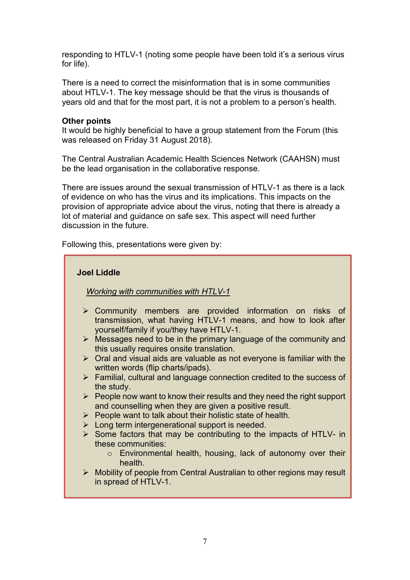responding to HTLV-1 (noting some people have been told it's a serious virus for life).

There is a need to correct the misinformation that is in some communities about HTLV-1. The key message should be that the virus is thousands of years old and that for the most part, it is not a problem to a person's health.

#### Other points

It would be highly beneficial to have a group statement from the Forum (this was released on Friday 31 August 2018).

The Central Australian Academic Health Sciences Network (CAAHSN) must be the lead organisation in the collaborative response.

There are issues around the sexual transmission of HTLV-1 as there is a lack of evidence on who has the virus and its implications. This impacts on the provision of appropriate advice about the virus, noting that there is already a lot of material and guidance on safe sex. This aspect will need further discussion in the future.

Following this, presentations were given by:

#### Joel Liddle

#### Working with communities with HTLV-1

- Community members are provided information on risks of transmission, what having HTLV-1 means, and how to look after yourself/family if you/they have HTLV-1.
- $\triangleright$  Messages need to be in the primary language of the community and this usually requires onsite translation.
- $\triangleright$  Oral and visual aids are valuable as not everyone is familiar with the written words (flip charts/ipads).
- Familial, cultural and language connection credited to the success of the study.
- $\triangleright$  People now want to know their results and they need the right support and counselling when they are given a positive result.
- $\triangleright$  People want to talk about their holistic state of health.
- $\triangleright$  Long term intergenerational support is needed.
- $\triangleright$  Some factors that may be contributing to the impacts of HTLV- in these communities:
	- o Environmental health, housing, lack of autonomy over their health.
- ▶ Mobility of people from Central Australian to other regions may result in spread of HTLV-1.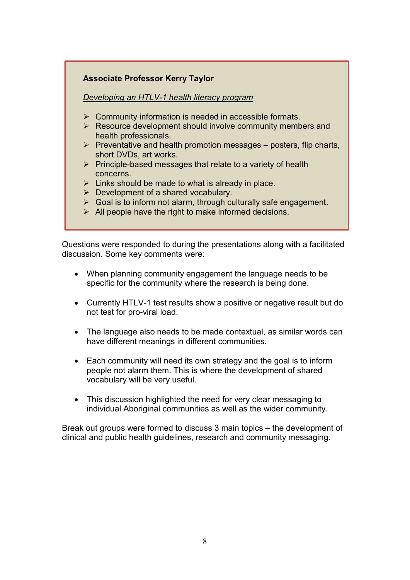#### Associate Professor Kerry Taylor

#### Developing an HTLV-1 health literacy program

- $\triangleright$  Community information is needed in accessible formats.
- $\triangleright$  Resource development should involve community members and health professionals.
- $\triangleright$  Preventative and health promotion messages posters, flip charts, short DVDs, art works.
- $\triangleright$  Principle-based messages that relate to a variety of health concerns.
- $\triangleright$  Links should be made to what is already in place.
- $\triangleright$  Development of a shared vocabulary.
- $\triangleright$  Goal is to inform not alarm, through culturally safe engagement.
- $\triangleright$  All people have the right to make informed decisions.

Questions were responded to during the presentations along with a facilitated discussion. Some key comments were:

- When planning community engagement the language needs to be specific for the community where the research is being done.
- Currently HTLV-1 test results show a positive or negative result but do not test for pro-viral load.
- The language also needs to be made contextual, as similar words can have different meanings in different communities.
- Each community will need its own strategy and the goal is to inform people not alarm them. This is where the development of shared vocabulary will be very useful.
- This discussion highlighted the need for very clear messaging to individual Aboriginal communities as well as the wider community.

Break out groups were formed to discuss 3 main topics – the development of clinical and public health guidelines, research and community messaging.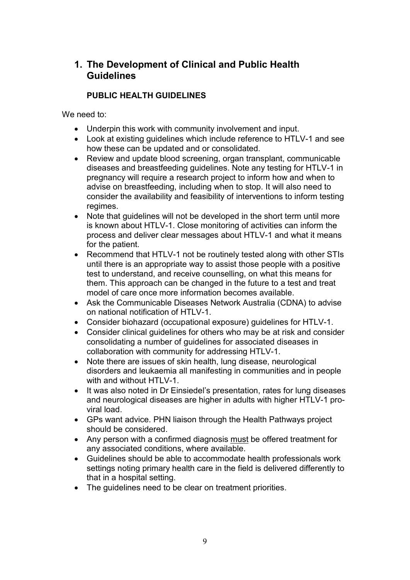## 1. The Development of Clinical and Public Health Guidelines

### PUBLIC HEALTH GUIDELINES

We need to:

- Underpin this work with community involvement and input.
- Look at existing guidelines which include reference to HTLV-1 and see how these can be updated and or consolidated.
- Review and update blood screening, organ transplant, communicable diseases and breastfeeding guidelines. Note any testing for HTLV-1 in pregnancy will require a research project to inform how and when to advise on breastfeeding, including when to stop. It will also need to consider the availability and feasibility of interventions to inform testing regimes.
- Note that quidelines will not be developed in the short term until more is known about HTLV-1. Close monitoring of activities can inform the process and deliver clear messages about HTLV-1 and what it means for the patient.
- Recommend that HTLV-1 not be routinely tested along with other STIs until there is an appropriate way to assist those people with a positive test to understand, and receive counselling, on what this means for them. This approach can be changed in the future to a test and treat model of care once more information becomes available.
- Ask the Communicable Diseases Network Australia (CDNA) to advise on national notification of HTLV-1.
- Consider biohazard (occupational exposure) guidelines for HTLV-1.
- Consider clinical guidelines for others who may be at risk and consider consolidating a number of guidelines for associated diseases in collaboration with community for addressing HTLV-1.
- Note there are issues of skin health, lung disease, neurological disorders and leukaemia all manifesting in communities and in people with and without HTLV-1.
- It was also noted in Dr Einsiedel's presentation, rates for lung diseases and neurological diseases are higher in adults with higher HTLV-1 proviral load.
- GPs want advice. PHN liaison through the Health Pathways project should be considered.
- Any person with a confirmed diagnosis must be offered treatment for any associated conditions, where available.
- Guidelines should be able to accommodate health professionals work settings noting primary health care in the field is delivered differently to that in a hospital setting.
- The guidelines need to be clear on treatment priorities.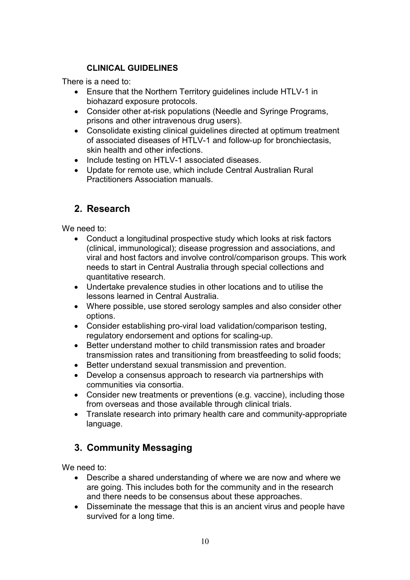### CLINICAL GUIDELINES

There is a need to:

- Ensure that the Northern Territory guidelines include HTLV-1 in biohazard exposure protocols.
- Consider other at-risk populations (Needle and Syringe Programs, prisons and other intravenous drug users).
- Consolidate existing clinical guidelines directed at optimum treatment of associated diseases of HTLV-1 and follow-up for bronchiectasis, skin health and other infections.
- Include testing on HTLV-1 associated diseases.
- Update for remote use, which include Central Australian Rural Practitioners Association manuals.

# 2. Research

We need to:

- Conduct a longitudinal prospective study which looks at risk factors (clinical, immunological); disease progression and associations, and viral and host factors and involve control/comparison groups. This work needs to start in Central Australia through special collections and quantitative research.
- Undertake prevalence studies in other locations and to utilise the lessons learned in Central Australia.
- Where possible, use stored serology samples and also consider other options.
- Consider establishing pro-viral load validation/comparison testing, regulatory endorsement and options for scaling-up.
- Better understand mother to child transmission rates and broader transmission rates and transitioning from breastfeeding to solid foods;
- Better understand sexual transmission and prevention.
- Develop a consensus approach to research via partnerships with communities via consortia.
- Consider new treatments or preventions (e.g. vaccine), including those from overseas and those available through clinical trials.
- Translate research into primary health care and community-appropriate language.

# 3. Community Messaging

We need to:

- Describe a shared understanding of where we are now and where we are going. This includes both for the community and in the research and there needs to be consensus about these approaches.
- Disseminate the message that this is an ancient virus and people have survived for a long time.